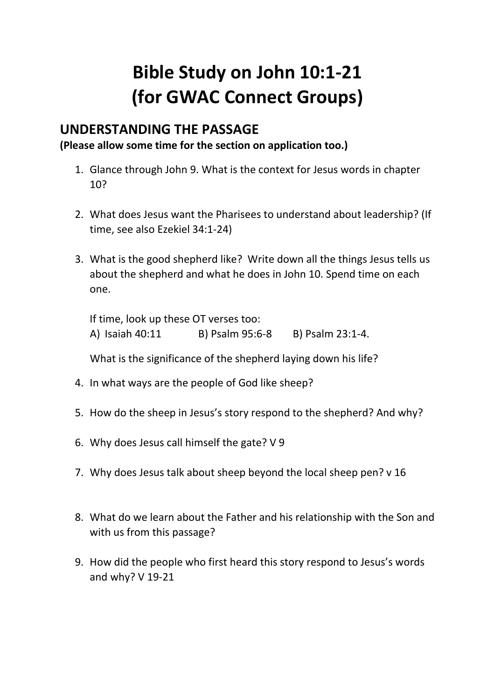## **Bible Study on John 10:1-21 (for GWAC Connect Groups)**

## **UNDERSTANDING THE PASSAGE**

**(Please allow some time for the section on application too.)**

- 1. Glance through John 9. What is the context for Jesus words in chapter 10?
- 2. What does Jesus want the Pharisees to understand about leadership? (If time, see also Ezekiel 34:1-24)
- 3. What is the good shepherd like? Write down all the things Jesus tells us about the shepherd and what he does in John 10. Spend time on each one.

If time, look up these OT verses too: A) Isaiah 40:11 B) Psalm 95:6-8 B) Psalm 23:1-4.

What is the significance of the shepherd laying down his life?

- 4. In what ways are the people of God like sheep?
- 5. How do the sheep in Jesus's story respond to the shepherd? And why?
- 6. Why does Jesus call himself the gate? V 9
- 7. Why does Jesus talk about sheep beyond the local sheep pen? v 16
- 8. What do we learn about the Father and his relationship with the Son and with us from this passage?
- 9. How did the people who first heard this story respond to Jesus's words and why? V 19-21